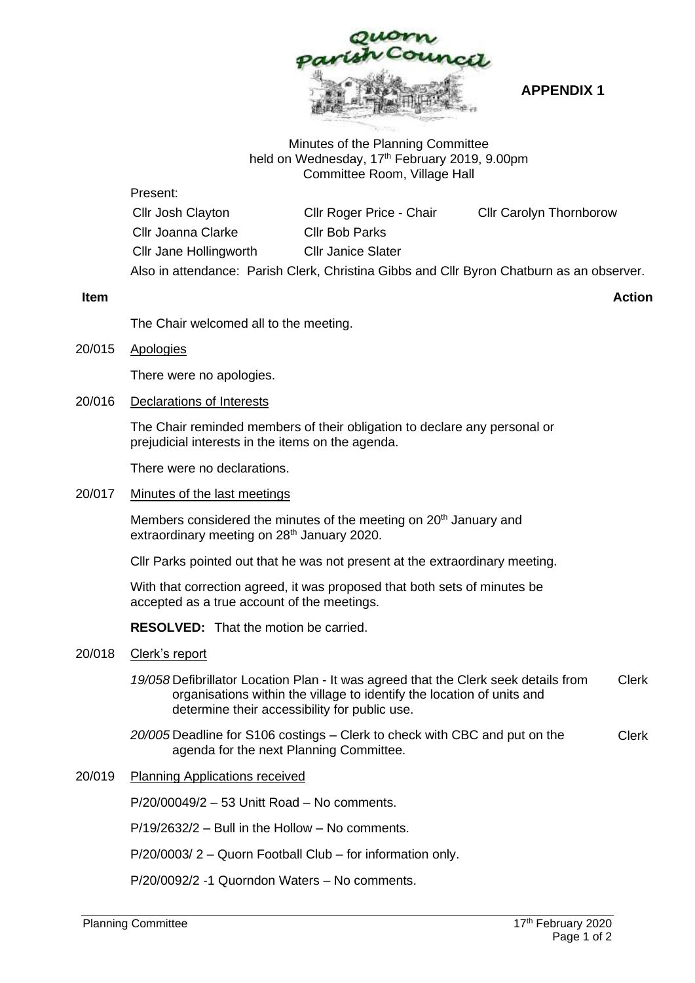

**APPENDIX 1**

## Minutes of the Planning Committee held on Wednesday, 17<sup>th</sup> February 2019, 9.00pm Committee Room, Village Hall

### Present:

| Cllr Josh Clayton                                                                         | Cllr Roger Price - Chair  | <b>Cllr Carolyn Thornborow</b> |
|-------------------------------------------------------------------------------------------|---------------------------|--------------------------------|
| Cllr Joanna Clarke                                                                        | <b>Cllr Bob Parks</b>     |                                |
| Cllr Jane Hollingworth                                                                    | <b>Cllr Janice Slater</b> |                                |
| Also in attendance: Parish Clerk, Christina Gibbs and Cllr Byron Chatburn as an observer. |                           |                                |

**Item Action**

The Chair welcomed all to the meeting.

20/015 Apologies

There were no apologies.

# 20/016 Declarations of Interests

The Chair reminded members of their obligation to declare any personal or prejudicial interests in the items on the agenda.

There were no declarations.

## 20/017 Minutes of the last meetings

Members considered the minutes of the meeting on 20<sup>th</sup> January and extraordinary meeting on 28<sup>th</sup> January 2020.

Cllr Parks pointed out that he was not present at the extraordinary meeting.

With that correction agreed, it was proposed that both sets of minutes be accepted as a true account of the meetings.

**RESOLVED:** That the motion be carried.

## 20/018 Clerk's report

*19/058* Defibrillator Location Plan - It was agreed that the Clerk seek details from organisations within the village to identify the location of units and determine their accessibility for public use. Clerk

- *20/005* Deadline for S106 costings Clerk to check with CBC and put on the agenda for the next Planning Committee. Clerk
- 20/019 Planning Applications received

P/20/00049/2 – 53 Unitt Road – No comments.

P/19/2632/2 – Bull in the Hollow – No comments.

P/20/0003/ 2 – Quorn Football Club – for information only.

P/20/0092/2 -1 Quorndon Waters – No comments.